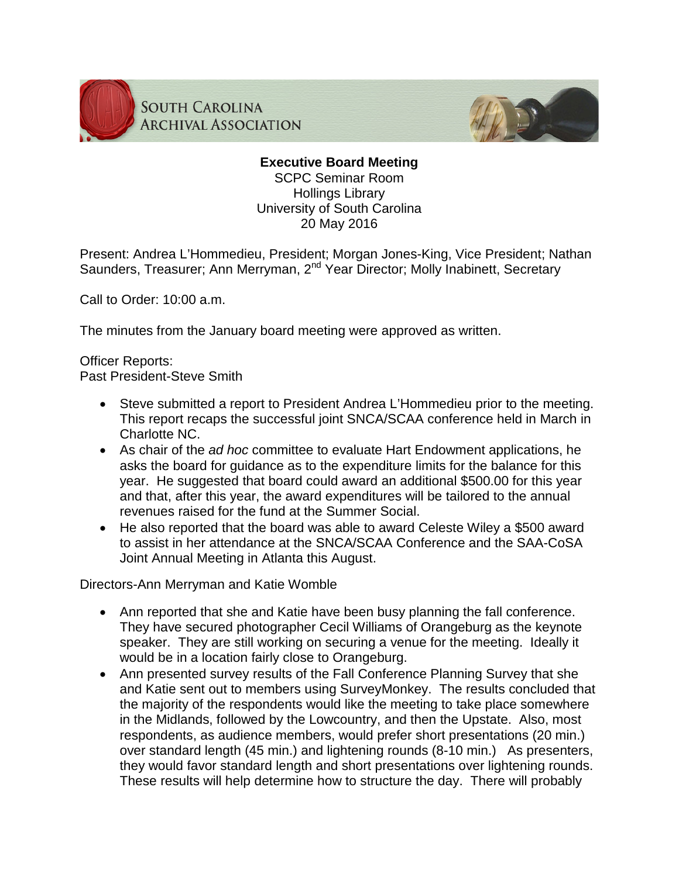

**SOUTH CAROLINA ARCHIVAL ASSOCIATION** 



# **Executive Board Meeting** SCPC Seminar Room Hollings Library

University of South Carolina 20 May 2016

Present: Andrea L'Hommedieu, President; Morgan Jones-King, Vice President; Nathan Saunders, Treasurer; Ann Merryman, 2<sup>nd</sup> Year Director; Molly Inabinett, Secretary

Call to Order: 10:00 a.m.

The minutes from the January board meeting were approved as written.

## Officer Reports: Past President-Steve Smith

- Steve submitted a report to President Andrea L'Hommedieu prior to the meeting. This report recaps the successful joint SNCA/SCAA conference held in March in Charlotte NC.
- As chair of the *ad hoc* committee to evaluate Hart Endowment applications, he asks the board for guidance as to the expenditure limits for the balance for this year. He suggested that board could award an additional \$500.00 for this year and that, after this year, the award expenditures will be tailored to the annual revenues raised for the fund at the Summer Social.
- He also reported that the board was able to award Celeste Wiley a \$500 award to assist in her attendance at the SNCA/SCAA Conference and the SAA-CoSA Joint Annual Meeting in Atlanta this August.

Directors-Ann Merryman and Katie Womble

- Ann reported that she and Katie have been busy planning the fall conference. They have secured photographer Cecil Williams of Orangeburg as the keynote speaker. They are still working on securing a venue for the meeting. Ideally it would be in a location fairly close to Orangeburg.
- Ann presented survey results of the Fall Conference Planning Survey that she and Katie sent out to members using SurveyMonkey. The results concluded that the majority of the respondents would like the meeting to take place somewhere in the Midlands, followed by the Lowcountry, and then the Upstate. Also, most respondents, as audience members, would prefer short presentations (20 min.) over standard length (45 min.) and lightening rounds (8-10 min.) As presenters, they would favor standard length and short presentations over lightening rounds. These results will help determine how to structure the day. There will probably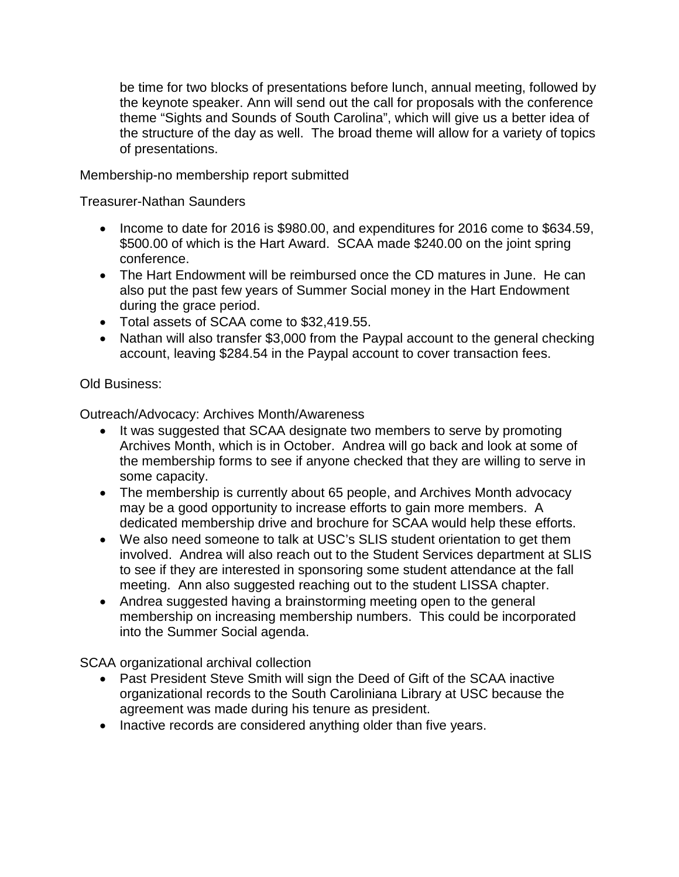be time for two blocks of presentations before lunch, annual meeting, followed by the keynote speaker. Ann will send out the call for proposals with the conference theme "Sights and Sounds of South Carolina", which will give us a better idea of the structure of the day as well. The broad theme will allow for a variety of topics of presentations.

Membership-no membership report submitted

Treasurer-Nathan Saunders

- Income to date for 2016 is \$980.00, and expenditures for 2016 come to \$634.59, \$500.00 of which is the Hart Award. SCAA made \$240.00 on the joint spring conference.
- The Hart Endowment will be reimbursed once the CD matures in June. He can also put the past few years of Summer Social money in the Hart Endowment during the grace period.
- Total assets of SCAA come to \$32,419.55.
- Nathan will also transfer \$3,000 from the Paypal account to the general checking account, leaving \$284.54 in the Paypal account to cover transaction fees.

# Old Business:

Outreach/Advocacy: Archives Month/Awareness

- It was suggested that SCAA designate two members to serve by promoting Archives Month, which is in October. Andrea will go back and look at some of the membership forms to see if anyone checked that they are willing to serve in some capacity.
- The membership is currently about 65 people, and Archives Month advocacy may be a good opportunity to increase efforts to gain more members. A dedicated membership drive and brochure for SCAA would help these efforts.
- We also need someone to talk at USC's SLIS student orientation to get them involved. Andrea will also reach out to the Student Services department at SLIS to see if they are interested in sponsoring some student attendance at the fall meeting. Ann also suggested reaching out to the student LISSA chapter.
- Andrea suggested having a brainstorming meeting open to the general membership on increasing membership numbers. This could be incorporated into the Summer Social agenda.

SCAA organizational archival collection

- Past President Steve Smith will sign the Deed of Gift of the SCAA inactive organizational records to the South Caroliniana Library at USC because the agreement was made during his tenure as president.
- Inactive records are considered anything older than five years.